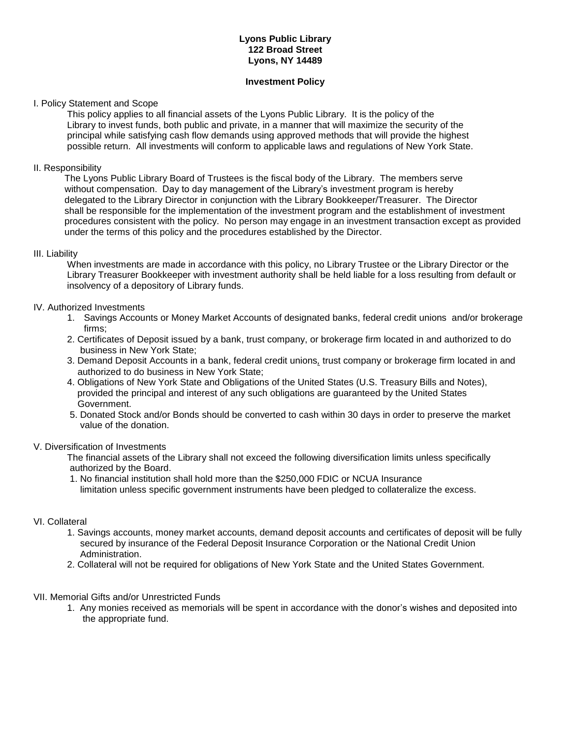# **Lyons Public Library 122 Broad Street Lyons, NY 14489**

### **Investment Policy**

## I. Policy Statement and Scope

This policy applies to all financial assets of the Lyons Public Library. It is the policy of the Library to invest funds, both public and private, in a manner that will maximize the security of the principal while satisfying cash flow demands using approved methods that will provide the highest possible return. All investments will conform to applicable laws and regulations of New York State.

# II. Responsibility

 The Lyons Public Library Board of Trustees is the fiscal body of the Library. The members serve without compensation. Day to day management of the Library's investment program is hereby delegated to the Library Director in conjunction with the Library Bookkeeper/Treasurer. The Director shall be responsible for the implementation of the investment program and the establishment of investment procedures consistent with the policy. No person may engage in an investment transaction except as provided under the terms of this policy and the procedures established by the Director.

# III. Liability

When investments are made in accordance with this policy, no Library Trustee or the Library Director or the Library Treasurer Bookkeeper with investment authority shall be held liable for a loss resulting from default or insolvency of a depository of Library funds.

# IV. Authorized Investments

- 1. Savings Accounts or Money Market Accounts of designated banks, federal credit unions and/or brokerage firms;
- 2. Certificates of Deposit issued by a bank, trust company, or brokerage firm located in and authorized to do business in New York State;
- 3. Demand Deposit Accounts in a bank, federal credit unions*,* trust company or brokerage firm located in and authorized to do business in New York State;
- 4. Obligations of New York State and Obligations of the United States (U.S. Treasury Bills and Notes), provided the principal and interest of any such obligations are guaranteed by the United States Government.
- 5. Donated Stock and/or Bonds should be converted to cash within 30 days in order to preserve the market value of the donation.

# V. Diversification of Investments

The financial assets of the Library shall not exceed the following diversification limits unless specifically authorized by the Board.

 1. No financial institution shall hold more than the \$250,000 FDIC or NCUA Insurance limitation unless specific government instruments have been pledged to collateralize the excess.

### VI. Collateral

- 1. Savings accounts, money market accounts, demand deposit accounts and certificates of deposit will be fully secured by insurance of the Federal Deposit Insurance Corporation or the National Credit Union Administration.
- 2. Collateral will not be required for obligations of New York State and the United States Government.

### VII. Memorial Gifts and/or Unrestricted Funds

1. Any monies received as memorials will be spent in accordance with the donor's wishes and deposited into the appropriate fund.